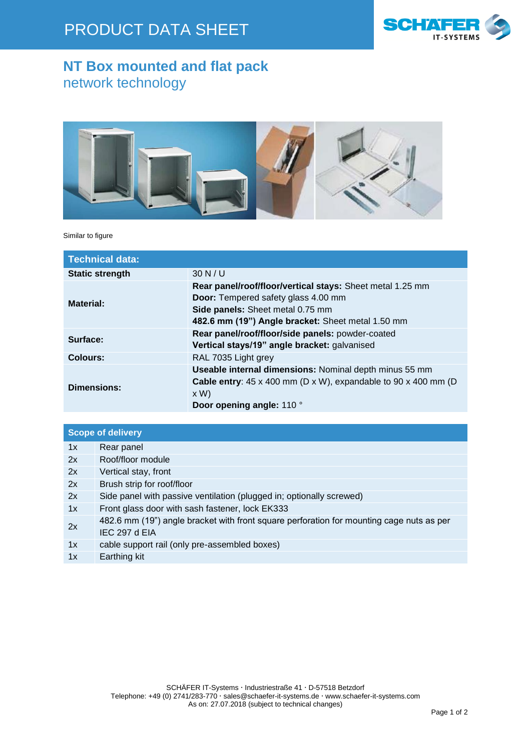

## **NT Box mounted and flat pack** network technology



Similar to figure

| <b>Technical data:</b> |                                                                                                                                                                                                  |  |  |  |
|------------------------|--------------------------------------------------------------------------------------------------------------------------------------------------------------------------------------------------|--|--|--|
| <b>Static strength</b> | 30 N/U                                                                                                                                                                                           |  |  |  |
| Material:              | Rear panel/roof/floor/vertical stays: Sheet metal 1.25 mm<br><b>Door:</b> Tempered safety glass 4.00 mm<br>Side panels: Sheet metal 0.75 mm<br>482.6 mm (19") Angle bracket: Sheet metal 1.50 mm |  |  |  |
| Surface:               | Rear panel/roof/floor/side panels: powder-coated<br>Vertical stays/19" angle bracket: galvanised                                                                                                 |  |  |  |
| <b>Colours:</b>        | RAL 7035 Light grey                                                                                                                                                                              |  |  |  |
| <b>Dimensions:</b>     | Useable internal dimensions: Nominal depth minus 55 mm<br><b>Cable entry:</b> $45 \times 400$ mm (D $\times$ W), expandable to 90 $\times$ 400 mm (D<br>x W<br>Door opening angle: 110 °         |  |  |  |

| <b>Scope of delivery</b> |                                                                                                           |  |  |  |
|--------------------------|-----------------------------------------------------------------------------------------------------------|--|--|--|
| 1x                       | Rear panel                                                                                                |  |  |  |
| 2x                       | Roof/floor module                                                                                         |  |  |  |
| 2x                       | Vertical stay, front                                                                                      |  |  |  |
| 2x                       | Brush strip for roof/floor                                                                                |  |  |  |
| 2x                       | Side panel with passive ventilation (plugged in; optionally screwed)                                      |  |  |  |
| 1x                       | Front glass door with sash fastener, lock EK333                                                           |  |  |  |
| 2x                       | 482.6 mm (19") angle bracket with front square perforation for mounting cage nuts as per<br>IEC 297 d EIA |  |  |  |
| 1x                       | cable support rail (only pre-assembled boxes)                                                             |  |  |  |
| 1x                       | Earthing kit                                                                                              |  |  |  |